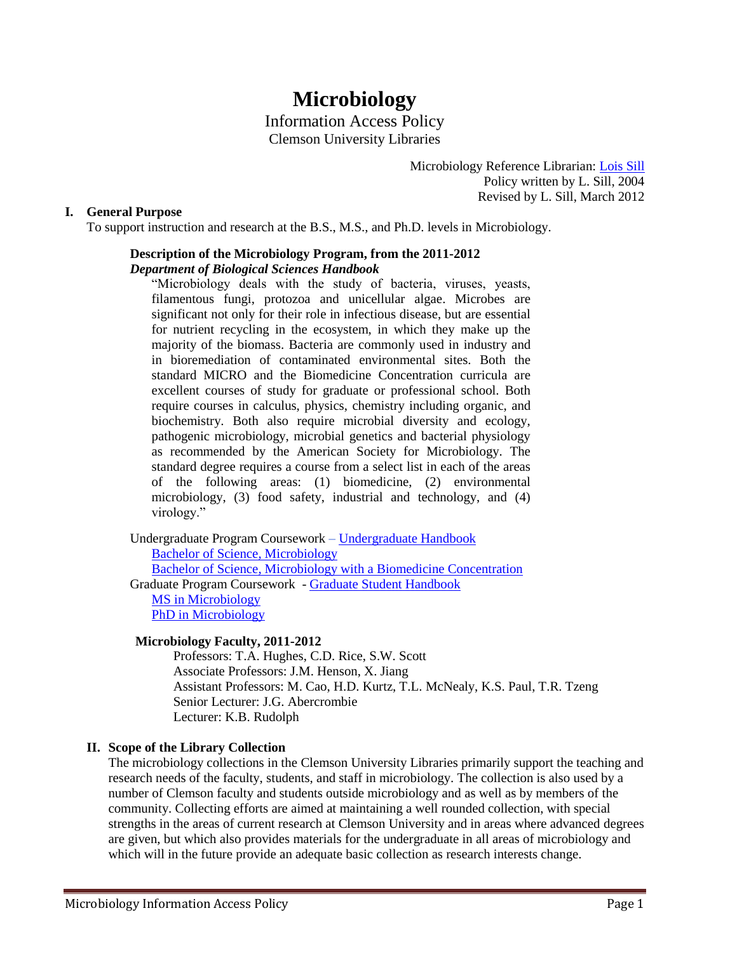# **Microbiology** Information Access Policy Clemson University Libraries

Microbiology Reference Librarian: [Lois](mailto:slois@clemson.edu) Sill Policy written by L. Sill, 2004 Revised by L. Sill, March 2012

### **I. General Purpose**

To support instruction and research at the B.S., M.S., and Ph.D. levels in Microbiology.

## **Description of the Microbiology Program, from the 2011-2012** *Department of Biological Sciences Handbook*

"Microbiology deals with the study of bacteria, viruses, yeasts, filamentous fungi, protozoa and unicellular algae. Microbes are significant not only for their role in infectious disease, but are essential for nutrient recycling in the ecosystem, in which they make up the majority of the biomass. Bacteria are commonly used in industry and in bioremediation of contaminated environmental sites. Both the standard MICRO and the Biomedicine Concentration curricula are excellent courses of study for graduate or professional school. Both require courses in calculus, physics, chemistry including organic, and biochemistry. Both also require microbial diversity and ecology, pathogenic microbiology, microbial genetics and bacterial physiology as recommended by the American Society for Microbiology. The standard degree requires a course from a select list in each of the areas of the following areas: (1) biomedicine, (2) environmental microbiology, (3) food safety, industrial and technology, and (4) virology."

Undergraduate Program Coursework – [Undergraduate Handbook](http://www.clemson.edu/cafls/departments/biosci/undergraduates/resources/handbook.pdf) [Bachelor of Science, Microbiology](http://www.registrar.clemson.edu/publicat/catalog/2011/coi/hlth415-w.pdf) [Bachelor of Science, Microbiology with a Biomedicine Concentration](http://www.clemson.edu/cafls/departments/biosci/undergraduates/resources/handbook_2010.pdf) Graduate Program Coursework - [Graduate Student Handbook](http://www.clemson.edu/cafls/departments/biosci/graduates/resources/GradStudentGuide.pdf) [MS in Microbiology](http://www.clemson.edu/cafls/departments/biosci/graduates/resources/pos-grad-microbio.pdf) [PhD in Microbiology](http://www.clemson.edu/cafls/departments/biosci/graduates/resources/pos-grad-microbio.pdf)

#### **Microbiology Faculty, 2011-2012**

Professors: T.A. Hughes, C.D. Rice, S.W. Scott Associate Professors: J.M. Henson, X. Jiang Assistant Professors: M. Cao, H.D. Kurtz, T.L. McNealy, K.S. Paul, T.R. Tzeng Senior Lecturer: J.G. Abercrombie Lecturer: K.B. Rudolph

# **II. Scope of the Library Collection**

The microbiology collections in the Clemson University Libraries primarily support the teaching and research needs of the faculty, students, and staff in microbiology. The collection is also used by a number of Clemson faculty and students outside microbiology and as well as by members of the community. Collecting efforts are aimed at maintaining a well rounded collection, with special strengths in the areas of current research at Clemson University and in areas where advanced degrees are given, but which also provides materials for the undergraduate in all areas of microbiology and which will in the future provide an adequate basic collection as research interests change.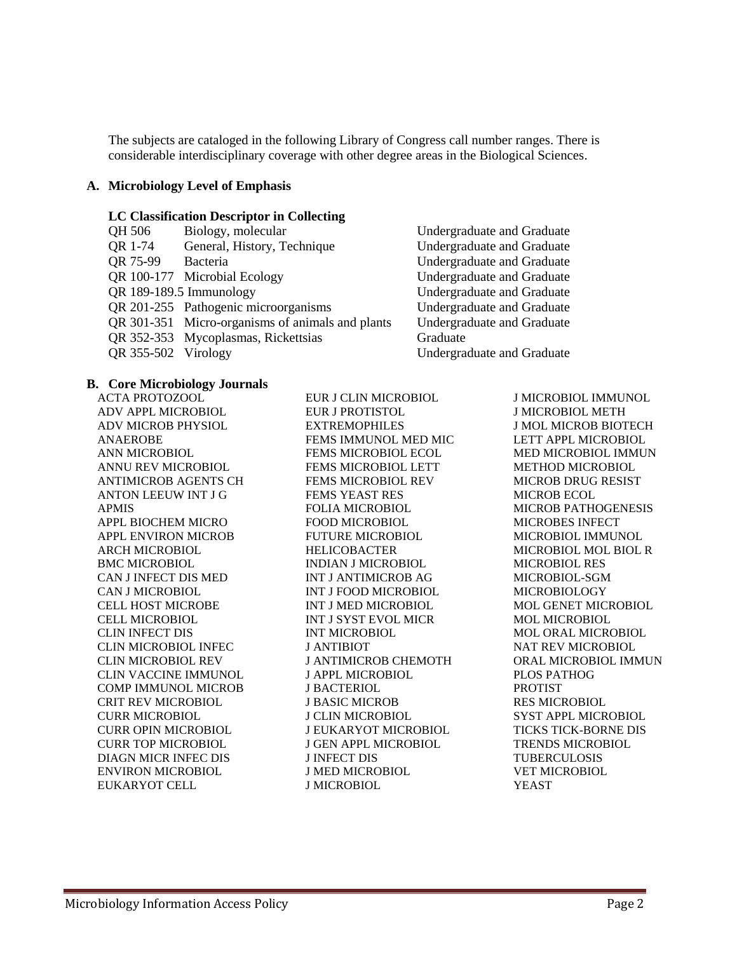The subjects are cataloged in the following Library of Congress call number ranges. There is considerable interdisciplinary coverage with other degree areas in the Biological Sciences.

#### **A. Microbiology Level of Emphasis**

#### **LC Classification Descriptor in Collecting**

| <b>OR</b> 1-74<br>General, History, Technique<br>Undergra<br>QR 75-99<br>Bacteria<br>Undergra | Undergra |
|-----------------------------------------------------------------------------------------------|----------|
|                                                                                               |          |
|                                                                                               |          |
| QR 100-177 Microbial Ecology<br>Undergra                                                      |          |
| QR 189-189.5 Immunology<br>Undergra                                                           |          |
| QR 201-255 Pathogenic microorganisms<br>Undergra                                              |          |
| QR 301-351 Micro-organisms of animals and plants<br>Undergra                                  |          |
| QR 352-353 Mycoplasmas, Rickettsias<br>Graduate                                               |          |
| QR 355-502 Virology<br>Undergra                                                               |          |

**B. Core Microbiology Journals**

ACTA PROTOZOOL ADV APPL MICROBIOL ADV MICROB PHYSIOL ANAEROBE ANN MICROBIOL ANNU REV MICROBIOL ANTIMICROB AGENTS CH ANTON LEEUW INT J G APMIS APPL BIOCHEM MICRO APPL ENVIRON MICROB ARCH MICROBIOL BMC MICROBIOL CAN J INFECT DIS MED CAN J MICROBIOL CELL HOST MICROBE CELL MICROBIOL CLIN INFECT DIS CLIN MICROBIOL INFEC CLIN MICROBIOL REV CLIN VACCINE IMMUNOL COMP IMMUNOL MICROB CRIT REV MICROBIOL CURR MICROBIOL CURR OPIN MICROBIOL CURR TOP MICROBIOL DIAGN MICR INFEC DIS ENVIRON MICROBIOL EUKARYOT CELL

EUR J CLIN MICROBIOL EUR J PROTISTOL EXTREMOPHILES FEMS IMMUNOL MED MIC FEMS MICROBIOL ECOL FEMS MICROBIOL LETT FEMS MICROBIOL REV FEMS YEAST RES FOLIA MICROBIOL FOOD MICROBIOL FUTURE MICROBIOL HELICOBACTER INDIAN J MICROBIOL INT J ANTIMICROB AG INT J FOOD MICROBIOL INT J MED MICROBIOL INT J SYST EVOL MICR INT MICROBIOL J ANTIBIOT J ANTIMICROB CHEMOTH J APPL MICROBIOL J BACTERIOL J BASIC MICROB J CLIN MICROBIOL J EUKARYOT MICROBIOL J GEN APPL MICROBIOL J INFECT DIS J MED MICROBIOL J MICROBIOL

dergraduate and Graduate dergraduate and Graduate dergraduate and Graduate dergraduate and Graduate dergraduate and Graduate dergraduate and Graduate dergraduate and Graduate dergraduate and Graduate

> J MICROBIOL IMMUNOL J MICROBIOL METH J MOL MICROB BIOTECH LETT APPL MICROBIOL MED MICROBIOL IMMUN METHOD MICROBIOL MICROB DRUG RESIST MICROB ECOL MICROB PATHOGENESIS MICROBES INFECT MICROBIOL IMMUNOL MICROBIOL MOL BIOL R MICROBIOL RES MICROBIOL-SGM MICROBIOLOGY MOL GENET MICROBIOL MOL MICROBIOL MOL ORAL MICROBIOL NAT REV MICROBIOL ORAL MICROBIOL IMMUN PLOS PATHOG PROTIST RES MICROBIOL SYST APPL MICROBIOL TICKS TICK-BORNE DIS TRENDS MICROBIOL TUBERCULOSIS VET MICROBIOL YEAST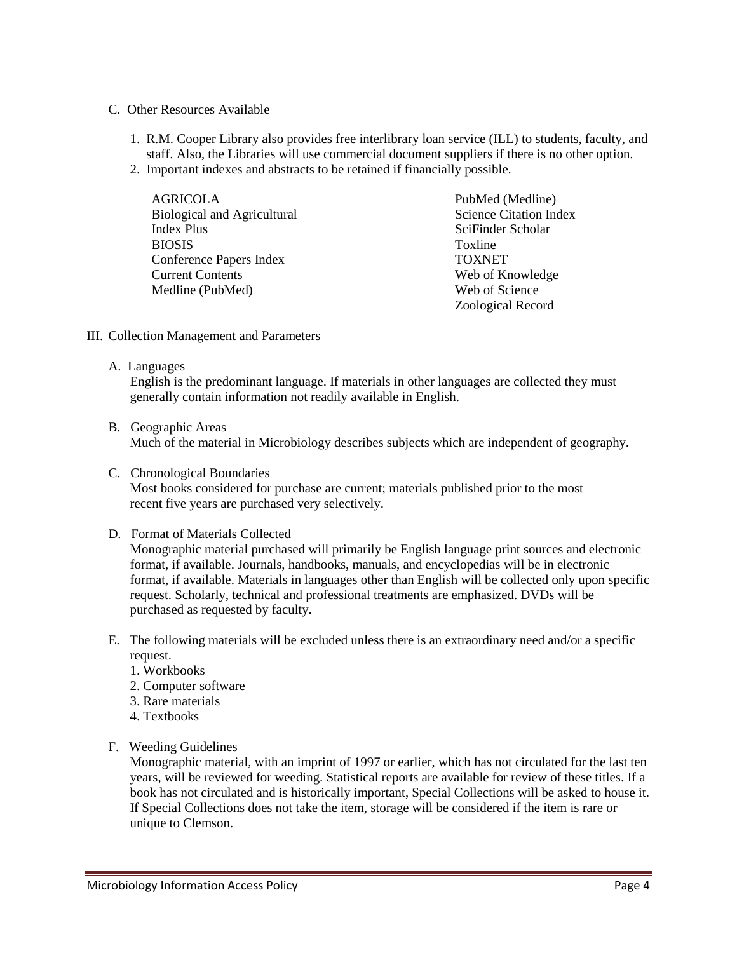- C. Other Resources Available
	- 1. R.M. Cooper Library also provides free interlibrary loan service (ILL) to students, faculty, and staff. Also, the Libraries will use commercial document suppliers if there is no other option.
	- 2. Important indexes and abstracts to be retained if financially possible.

| AGRICOLA                           | PubMed (Medline)              |
|------------------------------------|-------------------------------|
| <b>Biological and Agricultural</b> | <b>Science Citation Index</b> |
| Index Plus                         | SciFinder Scholar             |
| <b>BIOSIS</b>                      | Toxline                       |
| Conference Papers Index            | <b>TOXNET</b>                 |
| <b>Current Contents</b>            | Web of Knowledge              |
| Medline (PubMed)                   | Web of Science                |
|                                    | Zoological Record             |

- III. Collection Management and Parameters
	- A. Languages

English is the predominant language. If materials in other languages are collected they must generally contain information not readily available in English.

B. Geographic Areas

Much of the material in Microbiology describes subjects which are independent of geography.

- C. Chronological Boundaries Most books considered for purchase are current; materials published prior to the most recent five years are purchased very selectively.
- D. Format of Materials Collected

Monographic material purchased will primarily be English language print sources and electronic format, if available. Journals, handbooks, manuals, and encyclopedias will be in electronic format, if available. Materials in languages other than English will be collected only upon specific request. Scholarly, technical and professional treatments are emphasized. DVDs will be purchased as requested by faculty.

- E. The following materials will be excluded unless there is an extraordinary need and/or a specific request.
	- 1. Workbooks
	- 2. Computer software
	- 3. Rare materials
	- 4. Textbooks
- F. Weeding Guidelines

Monographic material, with an imprint of 1997 or earlier, which has not circulated for the last ten years, will be reviewed for weeding. Statistical reports are available for review of these titles. If a book has not circulated and is historically important, Special Collections will be asked to house it. If Special Collections does not take the item, storage will be considered if the item is rare or unique to Clemson.